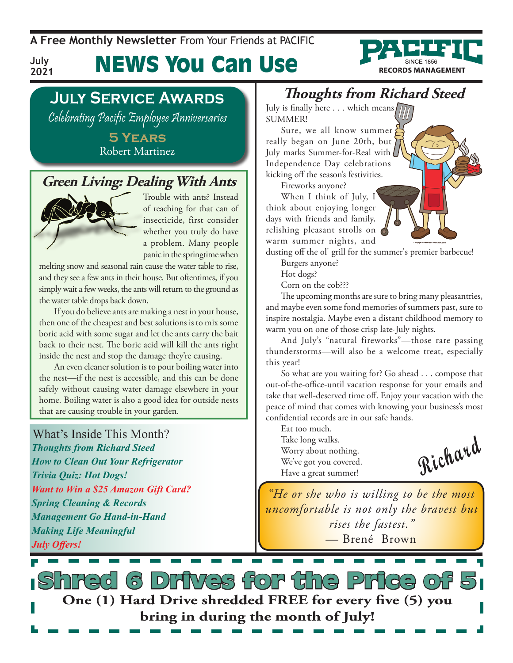**A Free Monthly Newsletter** From Your Friends at Pacific

News You Can Use



### **July Service Awards**

Celebrating Pacific Employee Anniversaries

**5 Years** Robert Martinez

### **Green Living: Dealing With Ants**



**July 2021**

> Trouble with ants? Instead of reaching for that can of insecticide, first consider whether you truly do have a problem. Many people panic in the springtime when

melting snow and seasonal rain cause the water table to rise, and they see a few ants in their house. But oftentimes, if you simply wait a few weeks, the ants will return to the ground as the water table drops back down.

If you do believe ants are making a nest in your house, then one of the cheapest and best solutions is to mix some boric acid with some sugar and let the ants carry the bait back to their nest. The boric acid will kill the ants right inside the nest and stop the damage they're causing.

An even cleaner solution is to pour boiling water into the nest—if the nest is accessible, and this can be done safely without causing water damage elsewhere in your home. Boiling water is also a good idea for outside nests that are causing trouble in your garden.

What's Inside This Month? *Thoughts from Richard Steed How to Clean Out Your Refrigerator Trivia Quiz: Hot Dogs! Want to Win a \$25 Amazon Gift Card? Spring Cleaning & Records Management Go Hand-in-Hand Making Life Meaningful July Offers!*

### **Thoughts from Richard Steed**

July is finally here  $\dots$  which means SUMMER!

Sure, we all know summer really began on June 20th, but July marks Summer-for-Real with Independence Day celebrations kicking off the season's festivities.

Fireworks anyone?



dusting off the ol' grill for the summer's premier barbecue!

Burgers anyone?

Hot dogs?

Corn on the cob???

The upcoming months are sure to bring many pleasantries, and maybe even some fond memories of summers past, sure to inspire nostalgia. Maybe even a distant childhood memory to warm you on one of those crisp late-July nights.

And July's "natural fireworks"—those rare passing thunderstorms—will also be a welcome treat, especially this year!

So what are you waiting for? Go ahead . . . compose that out-of-the-office-until vacation response for your emails and take that well-deserved time off. Enjoy your vacation with the peace of mind that comes with knowing your business's most confidential records are in our safe hands.

Eat too much. Take long walks. Worry about nothing. We've got you covered. Have a great summer!

**Richard**

*"He or she who is willing to be the most uncomfortable is not only the bravest but rises the fastest." —* Brené Brown

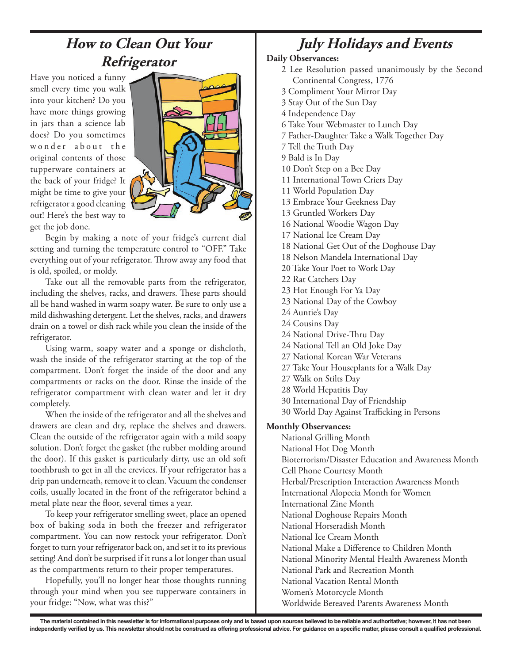### **How to Clean Out Your Refrigerator**

Have you noticed a funny smell every time you walk into your kitchen? Do you have more things growing in jars than a science lab does? Do you sometimes wonder about the original contents of those tupperware containers at the back of your fridge? It might be time to give your refrigerator a good cleaning out! Here's the best way to get the job done.



Begin by making a note of your fridge's current dial setting and turning the temperature control to "OFF." Take everything out of your refrigerator. Throw away any food that is old, spoiled, or moldy.

Take out all the removable parts from the refrigerator, including the shelves, racks, and drawers. These parts should all be hand washed in warm soapy water. Be sure to only use a mild dishwashing detergent. Let the shelves, racks, and drawers drain on a towel or dish rack while you clean the inside of the refrigerator.

Using warm, soapy water and a sponge or dishcloth, wash the inside of the refrigerator starting at the top of the compartment. Don't forget the inside of the door and any compartments or racks on the door. Rinse the inside of the refrigerator compartment with clean water and let it dry completely.

When the inside of the refrigerator and all the shelves and drawers are clean and dry, replace the shelves and drawers. Clean the outside of the refrigerator again with a mild soapy solution. Don't forget the gasket (the rubber molding around the door). If this gasket is particularly dirty, use an old soft toothbrush to get in all the crevices. If your refrigerator has a drip pan underneath, remove it to clean. Vacuum the condenser coils, usually located in the front of the refrigerator behind a metal plate near the floor, several times a year.

To keep your refrigerator smelling sweet, place an opened box of baking soda in both the freezer and refrigerator compartment. You can now restock your refrigerator. Don't forget to turn your refrigerator back on, and set it to its previous setting! And don't be surprised if it runs a lot longer than usual as the compartments return to their proper temperatures.

Hopefully, you'll no longer hear those thoughts running through your mind when you see tupperware containers in your fridge: "Now, what was this?"

## **July Holidays and Events**

#### **Daily Observances:**

- 2 Lee Resolution passed unanimously by the Second Continental Congress, 1776
- 3 Compliment Your Mirror Day
- 3 Stay Out of the Sun Day
- 4 Independence Day
- 6 Take Your Webmaster to Lunch Day
- 7 Father-Daughter Take a Walk Together Day
- 7 Tell the Truth Day
- 9 Bald is In Day
- 10 Don't Step on a Bee Day
- 11 International Town Criers Day
- 11 World Population Day
- 13 Embrace Your Geekness Day
- 13 Gruntled Workers Day
- 16 National Woodie Wagon Day
- 17 National Ice Cream Day
- 18 National Get Out of the Doghouse Day
- 18 Nelson Mandela International Day
- 20 Take Your Poet to Work Day
- 22 Rat Catchers Day
- 23 Hot Enough For Ya Day
- 23 National Day of the Cowboy
- 24 Auntie's Day
- 24 Cousins Day
- 24 National Drive-Thru Day
- 24 National Tell an Old Joke Day
- 27 National Korean War Veterans
- 27 Take Your Houseplants for a Walk Day
- 27 Walk on Stilts Day
- 28 World Hepatitis Day
- 30 International Day of Friendship
- 30 World Day Against Trafficking in Persons

#### **Monthly Observances:**

National Grilling Month National Hot Dog Month Bioterrorism/Disaster Education and Awareness Month Cell Phone Courtesy Month Herbal/Prescription Interaction Awareness Month International Alopecia Month for Women International Zine Month National Doghouse Repairs Month National Horseradish Month National Ice Cream Month National Make a Difference to Children Month National Minority Mental Health Awareness Month National Park and Recreation Month National Vacation Rental Month Women's Motorcycle Month Worldwide Bereaved Parents Awareness Month

The material contained in this newsletter is for informational purposes only and is based upon sources believed to be reliable and authoritative; however, it has not been independently verified by us. This newsletter should not be construed as offering professional advice. For guidance on a specific matter, please consult a qualified professional.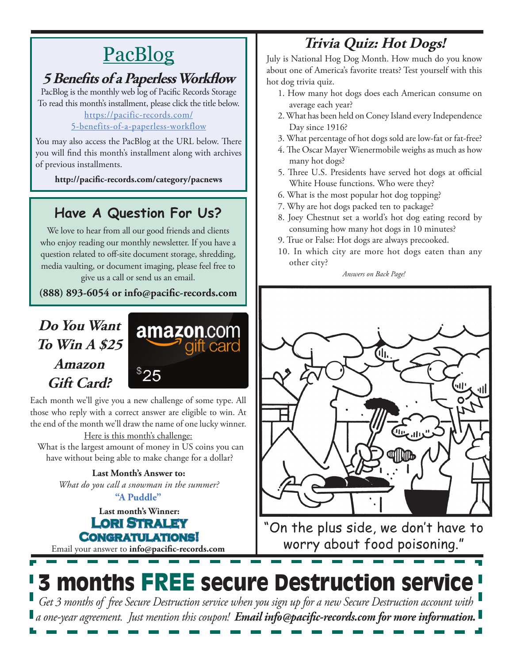# PacBlog

### **5 Benefits of a Paperless Workflow**

PacBlog is the monthly web log of Pacific Records Storage To read this month's installment, please click the title below[.](http://pacific-records.com/5-advantages-of-a-local-shredding-and-destruction-provider)

[https://pacific-records.com/](https://pacific-records.com/5-benefits-of-a-paperless-workflow)

### [5-benefits-of-a-paperless-workflow](https://pacific-records.com/5-benefits-of-a-paperless-workflow)

You may also access the PacBlog at the URL below. There you will find this month's installment along with archives of previous installments.

**http://pacific-records.com/category/pacnews**

### **Have A Question For Us?**

We love to hear from all our good friends and clients who enjoy reading our monthly newsletter. If you have a question related to off-site document storage, shredding, media vaulting, or document imaging, please feel free to give us a call or send us an email.

**(888) 893-6054 or info@pacific-records.com**

### **Do You Want To Win A \$25 Amazon Gift Card?**



Each month we'll give you a new challenge of some type. All those who reply with a correct answer are eligible to win. At the end of the month we'll draw the name of one lucky winner.

Here is this month's challenge: What is the largest amount of money in US coins you can have without being able to make change for a dollar?

> **Last Month's Answer to:**  *What do you call a snowman in the summer?*

**Last month's Winner: Lori Straley Congratulations! "A Puddle"**

Email your answer to **info@pacific-records.com**

# **Trivia Quiz: Hot Dogs!**

July is National Hog Dog Month. How much do you know about one of America's favorite treats? Test yourself with this hot dog trivia quiz.

- 1. How many hot dogs does each American consume on average each year?
- 2. What has been held on Coney Island every Independence Day since 1916?
- 3. What percentage of hot dogs sold are low-fat or fat-free?
- 4. The Oscar Mayer Wienermobile weighs as much as how many hot dogs?
- 5. Three U.S. Presidents have served hot dogs at official White House functions. Who were they?
- 6. What is the most popular hot dog topping?
- 7. Why are hot dogs packed ten to package?
- 8. Joey Chestnut set a world's hot dog eating record by consuming how many hot dogs in 10 minutes?
- 9. True or False: Hot dogs are always precooked.
- 10. In which city are more hot dogs eaten than any other city?

*Answers on Back Page!*



"On the plus side, we don't have to worry about food poisoning."

# 3 months FREE secure Destruction service *Get 3 months of free Secure Destruction service when you sign up for a new Secure Destruction account with*

*a one-year agreement. Just mention this coupon! Email info@pacific-records.com for more information.*